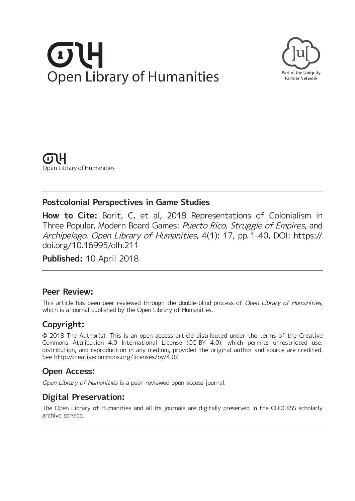# **Open Library of Humanities**



(1) LH Open Library of Humanities

# **Postcolonial Perspectives in Game Studies**

**How to Cite:** Borit, C, et al, 2018 Representations of Colonialism in Three Popular, Modern Board Games: Puerto Rico, Struggle of Empires, and Archipelago. Open Library of Humanities, 4(1): 17, pp. 1-40, DOI: [https://](https://doi.org/10.16995/olh.211) [doi.org/10.16995/olh.211](https://doi.org/10.16995/olh.211)

**Published:** 10 April 2018

## **Peer Review:**

This article has been peer reviewed through the double-blind process of Open Library of Humanities, which is a journal published by the Open Library of Humanities.

# **Copyright:**

© 2018 The Author(s). This is an open-access article distributed under the terms of the Creative Commons Attribution 4.0 International License (CC-BY 4.0), which permits unrestricted use, distribution, and reproduction in any medium, provided the original author and source are credited. See [http://creativecommons.org/licenses/by/4.0/.](http://creativecommons.org/licenses/by/4.0/)

# **Open Access:**

Open Library of Humanities is a peer-reviewed open access journal.

# **Digital Preservation:**

The Open Library of Humanities and all its journals are digitally preserved in the CLOCKSS scholarly archive service.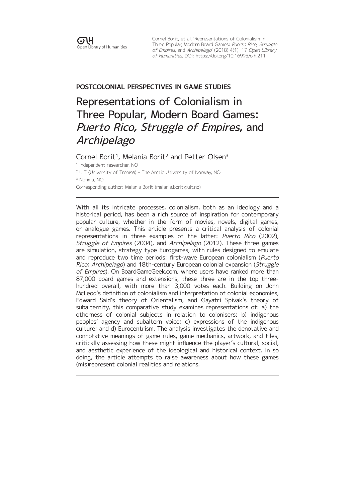Cornel Borit, et al, 'Representations of Colonialism in Three Popular, Modern Board Games: Puerto Rico, Struggle of Empires, and Archipelago' (2018) 4(1): 17 Open Library of Humanities, DOI:<https://doi.org/10.16995/olh.211>

### **POSTCOLONIAL PERSPECTIVES IN GAME STUDIES**

# Representations of Colonialism in Three Popular, Modern Board Games: Puerto Rico, Struggle of Empires, and Archipelago

### Cornel Borit<sup>1</sup>, Melania Borit<sup>2</sup> and Petter Olsen<sup>3</sup>

<sup>1</sup> Independent researcher, NO <sup>2</sup> UiT (University of Tromsø) – The Arctic University of Norway, NO <sup>3</sup> Nofima, NO Corresponding author: Melania Borit [\(melania.borit@uit.no\)](mailto:melania.borit@uit.no)

With all its intricate processes, colonialism, both as an ideology and a historical period, has been a rich source of inspiration for contemporary popular culture, whether in the form of movies, novels, digital games, or analogue games. This article presents a critical analysis of colonial representations in three examples of the latter: Puerto Rico (2002), Struggle of Empires (2004), and Archipelago (2012). These three games are simulation, strategy type Eurogames, with rules designed to emulate and reproduce two time periods: first-wave European colonialism (Puerto Rico; Archipelago) and 18th-century European colonial expansion (Struggle of Empires). On [BoardGameGeek.com,](http://BoardGameGeek.com) where users have ranked more than 87,000 board games and extensions, these three are in the top threehundred overall, with more than 3,000 votes each. Building on John McLeod's definition of colonialism and interpretation of colonial economies, Edward Said's theory of Orientalism, and Gayatri Spivak's theory of subalternity, this comparative study examines representations of: a) the otherness of colonial subjects in relation to colonisers; b) indigenous peoples' agency and subaltern voice; c) expressions of the indigenous culture; and d) Eurocentrism. The analysis investigates the denotative and connotative meanings of game rules, game mechanics, artwork, and tiles, critically assessing how these might influence the player's cultural, social, and aesthetic experience of the ideological and historical context. In so doing, the article attempts to raise awareness about how these games (mis)represent colonial realities and relations.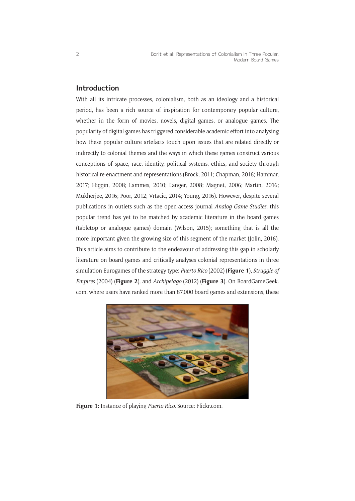### **Introduction**

With all its intricate processes, colonialism, both as an ideology and a historical period, has been a rich source of inspiration for contemporary popular culture, whether in the form of movies, novels, digital games, or analogue games. The popularity of digital games has triggered considerable academic effort into analysing how these popular culture artefacts touch upon issues that are related directly or indirectly to colonial themes and the ways in which these games construct various conceptions of space, race, identity, political systems, ethics, and society through historical re-enactment and representations (Brock, 2011; Chapman, 2016; Hammar, 2017; Higgin, 2008; Lammes, 2010; Langer, 2008; Magnet, 2006; Martin, 2016; Mukherjee, 2016; Poor, 2012; Vrtacic, 2014; Young, 2016). However, despite several publications in outlets such as the open-access journal *Analog Game Studies*, this popular trend has yet to be matched by academic literature in the board games (tabletop or analogue games) domain (Wilson, 2015); something that is all the more important given the growing size of this segment of the market (Jolin, 2016). This article aims to contribute to the endeavour of addressing this gap in scholarly literature on board games and critically analyses colonial representations in three simulation Eurogames of the strategy type: *Puerto Rico* (2002) (**Figure 1**), *Struggle of Empires* (2004) (**Figure 2**), and *Archipelago* (2012) (**Figure 3**). On [BoardGameGeek.](http://BoardGameGeek.com) [com](http://BoardGameGeek.com), where users have ranked more than 87,000 board games and extensions, these



**Figure 1:** Instance of playing *Puerto Rico*. Source: [Flickr.com](http://Flickr.com).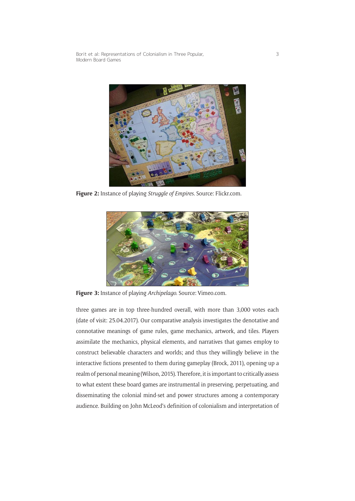Borit et al: Representations of Colonialism in Three Popular, Modern Board Games



**Figure 2:** Instance of playing *Struggle of Empires*. Source: [Flickr.com](http://Flickr.com).



**Figure 3:** Instance of playing *Archipelago*. Source: [Vimeo.com.](http://Vimeo.com)

three games are in top three-hundred overall, with more than 3,000 votes each (date of visit: 25.04.2017). Our comparative analysis investigates the denotative and connotative meanings of game rules, game mechanics, artwork, and tiles. Players assimilate the mechanics, physical elements, and narratives that games employ to construct believable characters and worlds; and thus they willingly believe in the interactive fictions presented to them during gameplay (Brock, 2011), opening up a realm of personal meaning (Wilson, 2015). Therefore, it is important to critically assess to what extent these board games are instrumental in preserving, perpetuating, and disseminating the colonial mind-set and power structures among a contemporary audience. Building on John McLeod's definition of colonialism and interpretation of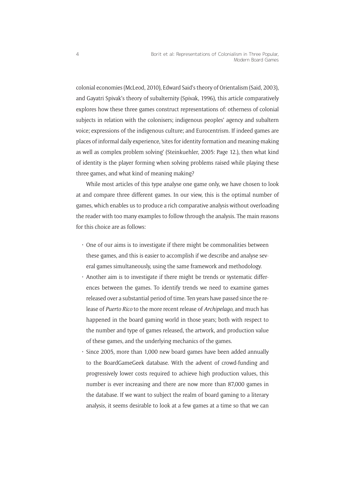colonial economies (McLeod, 2010), Edward Said's theory of Orientalism (Said, 2003), and Gayatri Spivak's theory of subalternity (Spivak, 1996), this article comparatively explores how these three games construct representations of: otherness of colonial subjects in relation with the colonisers; indigenous peoples' agency and subaltern voice; expressions of the indigenous culture; and Eurocentrism. If indeed games are places of informal daily experience, 'sites for identity formation and meaning-making as well as complex problem solving' (Steinkuehler, 2005: Page 12.), then what kind of identity is the player forming when solving problems raised while playing these three games, and what kind of meaning making?

While most articles of this type analyse one game only, we have chosen to look at and compare three different games. In our view, this is the optimal number of games, which enables us to produce a rich comparative analysis without overloading the reader with too many examples to follow through the analysis. The main reasons for this choice are as follows:

- One of our aims is to investigate if there might be commonalities between these games, and this is easier to accomplish if we describe and analyse several games simultaneously, using the same framework and methodology.
- Another aim is to investigate if there might be trends or systematic differences between the games. To identify trends we need to examine games released over a substantial period of time. Ten years have passed since the release of *Puerto Rico* to the more recent release of *Archipelago*, and much has happened in the board gaming world in those years; both with respect to the number and type of games released, the artwork, and production value of these games, and the underlying mechanics of the games.
- Since 2005, more than 1,000 new board games have been added annually to the BoardGameGeek database. With the advent of crowd-funding and progressively lower costs required to achieve high production values, this number is ever increasing and there are now more than 87,000 games in the database. If we want to subject the realm of board gaming to a literary analysis, it seems desirable to look at a few games at a time so that we can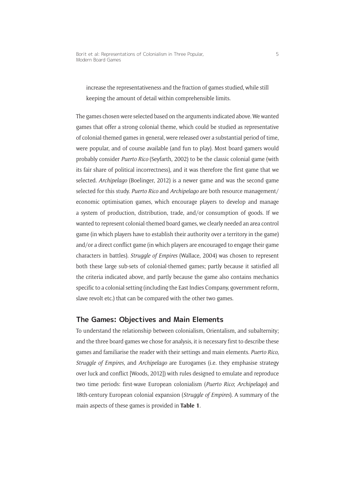Borit et al: Representations of Colonialism in Three Popular, Modern Board Games

increase the representativeness and the fraction of games studied, while still keeping the amount of detail within comprehensible limits.

The games chosen were selected based on the arguments indicated above. We wanted games that offer a strong colonial theme, which could be studied as representative of colonial-themed games in general, were released over a substantial period of time, were popular, and of course available (and fun to play). Most board gamers would probably consider *Puerto Rico* (Seyfarth, 2002) to be the classic colonial game (with its fair share of political incorrectness), and it was therefore the first game that we selected. *Archipelago* (Boelinger, 2012) is a newer game and was the second game selected for this study. *Puerto Rico* and *Archipelago* are both resource management/ economic optimisation games, which encourage players to develop and manage a system of production, distribution, trade, and/or consumption of goods. If we wanted to represent colonial-themed board games, we clearly needed an area control game (in which players have to establish their authority over a territory in the game) and/or a direct conflict game (in which players are encouraged to engage their game characters in battles). *Struggle of Empires* (Wallace, 2004) was chosen to represent both these large sub-sets of colonial-themed games; partly because it satisfied all the criteria indicated above, and partly because the game also contains mechanics specific to a colonial setting (including the East Indies Company, government reform, slave revolt etc.) that can be compared with the other two games.

### **The Games: Objectives and Main Elements**

To understand the relationship between colonialism, Orientalism, and subalternity; and the three board games we chose for analysis, it is necessary first to describe these games and familiarise the reader with their settings and main elements. *Puerto Rico*, *Struggle of Empires*, and *Archipelago* are Eurogames (i.e. they emphasise strategy over luck and conflict [Woods, 2012]) with rules designed to emulate and reproduce two time periods: first-wave European colonialism (*Puerto Rico*; *Archipelago*) and 18th-century European colonial expansion (*Struggle of Empires*). A summary of the main aspects of these games is provided in **Table 1**.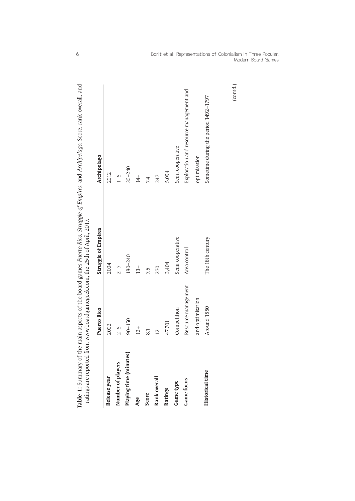|                        | ratings are reported from www.boardgamegeek.com, the 25th of April, 2017. |                     |                                                      |
|------------------------|---------------------------------------------------------------------------|---------------------|------------------------------------------------------|
|                        | <b>Puerto Rico</b>                                                        | Struggle of Empires | Archipelago                                          |
| Release year           | 2002                                                                      | 2004                | 2012                                                 |
| Number of players      | $2 - 5$                                                                   | $2 - 7$             | $\frac{1}{1}$                                        |
| Playing time (minutes) | $90 - 150$                                                                | 180-240             | $30 - 240$                                           |
| Age                    | $\frac{1}{2}$                                                             | $13+$               | $\frac{4}{4}$                                        |
| Score                  | $\overline{8.1}$                                                          | 7.5                 | 74                                                   |
| Rank overall           |                                                                           | 270                 | 247                                                  |
| Ratings                | 47,701                                                                    | 3,404               | 5,094                                                |
| Game type              | Competition                                                               | Semi-cooperative    | Semi-cooperative                                     |
| <b>Game</b> focus      | Resource management                                                       | Area control        | Exploration and resource management and              |
| <b>Historical time</b> | and optimisation<br>Around 1550                                           | The 18th century    | Sometime during the period 1492-1797<br>optimisation |
|                        |                                                                           |                     |                                                      |

Table 1: Summary of the main aspects of the board games Puerto Rico, Struggle of Empires, and Archipelago. Score, rank overall, and **Table 1:** Summary of the main aspects of the board games *Puerto Rico*, *Struggle of Empires,* and *Archipelago*. Score, rank overall, and Borit et al: Representations of Colonialism in Three Popular, Modern Board Games

(contd.)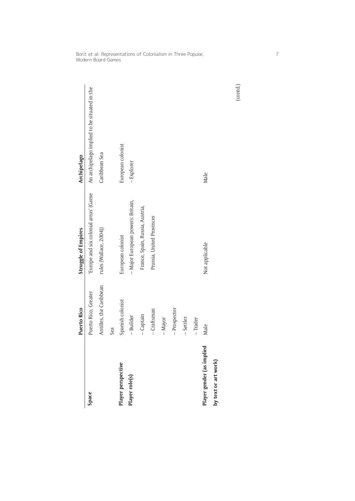|                          | Puerto Rico             | Struggle of Empires                   | Archipelago                                  |
|--------------------------|-------------------------|---------------------------------------|----------------------------------------------|
| Space                    | Puerto Rico, Greater    | 'Europe and six colonial areas' (Game | An archipelago implied to be situated in the |
|                          | Antilles, the Caribbean | rules (Wallace, 2004))                | Caribbean Sea                                |
|                          | Sea                     |                                       |                                              |
| Player perspective       | Spanish colonist        | European colonist                     | European colonist                            |
| Player role(s)           | - Builder               | - Major European powers: Britain,     | - Explorer                                   |
|                          | - Captain               | France, Spain, Russia, Austria,       |                                              |
|                          | $-craftsman$            | Prussia, United Provinces             |                                              |
|                          | $-Mayor$                |                                       |                                              |
|                          | $-$ Prospector          |                                       |                                              |
|                          | -Settler                |                                       |                                              |
|                          | $-$ Trader              |                                       |                                              |
| Player gender (as implie | Male                    | Not applicable                        | Male                                         |
| by text or art work)     |                         |                                       |                                              |

Borit et al: Representations of Colonialism in Three Popular, Modern Board Games

(contd.)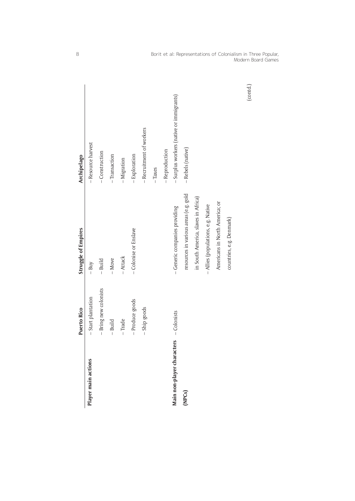|                                        | Puerto Rico           | Struggle of Empires                   | Archipelago                              |
|----------------------------------------|-----------------------|---------------------------------------|------------------------------------------|
| <b>Player main actions</b>             | - Start plantation    | $-$ Buy                               | - Resource harvest                       |
|                                        | - Bring new colonists | $-$ Build                             | $-$ Construction                         |
|                                        | $-Build$              | $-Move$                               | $-$ Transaction                          |
|                                        | $-$ Trade             | $-Attack$                             | - Migration                              |
|                                        | - Produce goods       | - Colonise or Enslave                 | - Exploration                            |
|                                        | - Ship goods          |                                       | - Recruitment of workers                 |
|                                        |                       |                                       | - Taxes                                  |
|                                        |                       |                                       | $-$ Reproduction                         |
| Main non-player characters - Colonists |                       | - Generic companies providing         | - Surplus workers (native or immigrants) |
| (NPCs)                                 |                       | resources in various areas (e.g. gold | - Rebels (native)                        |
|                                        |                       | in South America, slaves in Africa)   |                                          |
|                                        |                       | - Allies (populations, e.g. Native    |                                          |
|                                        |                       | Americans in North America; or        |                                          |
|                                        |                       | countries, e.g. Denmark)              |                                          |
|                                        |                       |                                       | (contd.)                                 |

8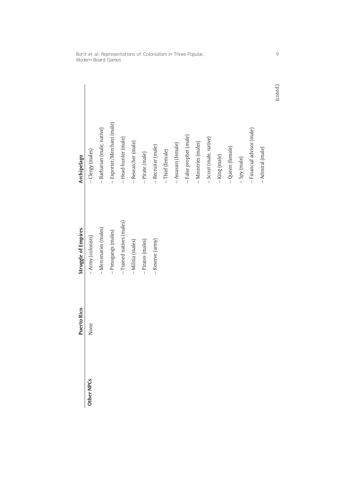|            | Puerto Rico | Struggle of Empires       | Archipelago                |
|------------|-------------|---------------------------|----------------------------|
| Other NPCs | None        | - Army (colonists)        | - Clergy (males)           |
|            |             | - Mercenaries (males)     | - Barbarian (male, native) |
|            |             | - Pressgangs (males)      | - Exporter/Merchant (male) |
|            |             | - Trained natives (males) | - Head-hunter (male)       |
|            |             | - Militia (males)         | - Researcher (male)        |
|            |             | - Pirates (males)         | - Pirate (male)            |
|            |             | - Reserve (army)          | - Recruiter (male)         |
|            |             |                           | - Thief (female)           |
|            |             |                           | - Assassin (female)        |
|            |             |                           | - False prophet (male)     |
|            |             |                           | - Ministries (males)       |
|            |             |                           | - Scout (male, native)     |
|            |             |                           | – King (male)              |
|            |             |                           | - Queen (female)           |
|            |             |                           | - Spy (male)               |
|            |             |                           | - Financial advisor (male) |
|            |             |                           | - Admiral (male)           |
|            |             |                           | (contd.)                   |

Borit et al: Representations of Colonialism in Three Popular, Modern Board Games

9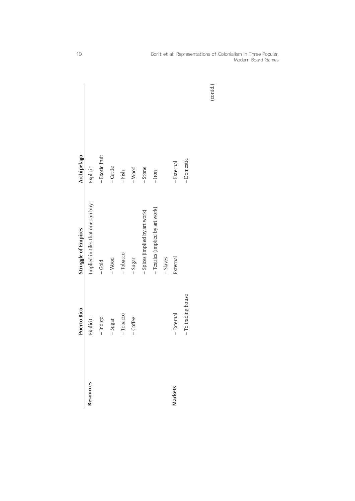|           | <b>Puerto Rico</b> | <b>Struggle of Empires</b>         | Archipelago    |
|-----------|--------------------|------------------------------------|----------------|
| Resources | <b>Explicit:</b>   | Implied in tiles that one can buy: | Explicit:      |
|           | -Indigo            | $-$ Gold                           | - Exotic fruit |
|           | $-sugar$           | $-Wood$                            | $-c$ attle     |
|           | $-$ Tobacco        | $-$ Tobacco                        | $-Fish$        |
|           | $-$ Coffee         | - Sugar                            | $-Wood$        |
|           |                    | - Spices (implied by art work)     | - Stone        |
|           |                    | - Textiles (implied by art work)   | $-$ Iron       |
|           |                    | $-Slaves$                          |                |
| Markets   | - External         | External                           | - External     |
|           | - To trading house |                                    | $-Domestic$    |

(contd.)

Borit et al: Representations of Colonialism in Three Popular,

Modern Board Games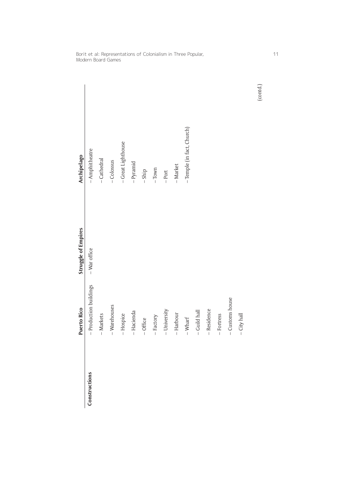|               | Puerto Rico            | Struggle of Empires | Archipelago                |
|---------------|------------------------|---------------------|----------------------------|
| Constructions | - Production buildings | - War office        | $-Amphitheatre$            |
|               | $-Markets$             |                     | - Cathedral                |
|               | $-Warehouses$          |                     | - Colossus                 |
|               | - Hospice              |                     | - Great Lighthouse         |
|               | - Hacienda             |                     | - Pyramid                  |
|               | $-$ Office             |                     | $-$ Ship                   |
|               | $-Factory$             |                     | $-$ Town                   |
|               | $-$ University         |                     | $-$ Port                   |
|               | - Harbour              |                     | - Market                   |
|               | $-Whart$               |                     | - Temple (in fact, Church) |
|               | - Guild hall           |                     |                            |
|               | - Residence            |                     |                            |
|               | - Fortress             |                     |                            |
|               | - Customs house        |                     |                            |
|               | -City hall             |                     |                            |

Borit et al: Representations of Colonialism in Three Popular, Modern Board Games

(contd.)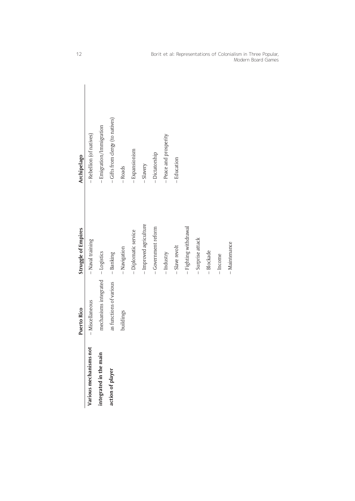|                        | Puerto Rico                       | Struggle of Empires    | Archipelago                      |
|------------------------|-----------------------------------|------------------------|----------------------------------|
| Various mechanisms not | $-Miscellance$                    | - Naval training       | - Rebellion (of natives)         |
| integrated in the main | mechanisms integrated - Logistics |                        | - Emigration/Immigration         |
| action of player       | as functions of various           | - Banking              | - Gifts from clergy (to natives) |
|                        | buildings                         | - Navigation           | - Roads                          |
|                        |                                   | - Diplomatic service   | - Expansionism                   |
|                        |                                   | - Improved agriculture | - Slavery                        |
|                        |                                   | $-$ Government reform  | $-$ Dictatorship                 |
|                        |                                   | $-$ Industry           | - Peace and prosperity           |
|                        |                                   | - Slave revolt         | - Education                      |
|                        |                                   | - Fighting withdrawal  |                                  |
|                        |                                   | - Surprise attack      |                                  |
|                        |                                   | - Blockade             |                                  |
|                        |                                   | $-$ Income             |                                  |
|                        |                                   | - Maintenance          |                                  |
|                        |                                   |                        |                                  |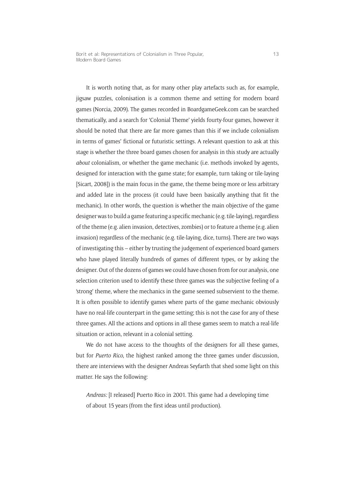Borit et al: Representations of Colonialism in Three Popular, Modern Board Games

It is worth noting that, as for many other play artefacts such as, for example, jigsaw puzzles, colonisation is a common theme and setting for modern board games (Norcia, 2009). The games recorded in [BoardgameGeek.com](http://BoardgameGeek.com) can be searched thematically, and a search for 'Colonial Theme' yields fourty-four games, however it should be noted that there are far more games than this if we include colonialism in terms of games' fictional or futuristic settings. A relevant question to ask at this stage is whether the three board games chosen for analysis in this study are actually *about* colonialism, or whether the game mechanic (i.e. methods invoked by agents, designed for interaction with the game state; for example, turn taking or tile-laying [Sicart, 2008]) is the main focus in the game, the theme being more or less arbitrary and added late in the process (it could have been basically anything that fit the mechanic). In other words, the question is whether the main objective of the game designer was to build a game featuring a specific mechanic (e.g. tile-laying), regardless of the theme (e.g. alien invasion, detectives, zombies) or to feature a theme (e.g. alien invasion) regardless of the mechanic (e.g. tile-laying, dice, turns). There are two ways of investigating this – either by trusting the judgement of experienced board gamers who have played literally hundreds of games of different types, or by asking the designer. Out of the dozens of games we could have chosen from for our analysis, one selection criterion used to identify these three games was the subjective feeling of a 'strong' theme, where the mechanics in the game seemed subservient to the theme. It is often possible to identify games where parts of the game mechanic obviously have no real-life counterpart in the game setting; this is not the case for any of these three games. All the actions and options in all these games seem to match a real-life situation or action, relevant in a colonial setting.

We do not have access to the thoughts of the designers for all these games, but for *Puerto Rico*, the highest ranked among the three games under discussion, there are interviews with the designer Andreas Seyfarth that shed some light on this matter. He says the following:

*Andreas:* [I released] Puerto Rico in 2001. This game had a developing time of about 15 years (from the first ideas until production).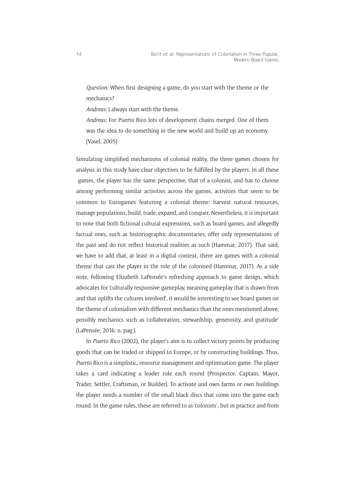*Question:* When first designing a game, do you start with the theme or the mechanics?

*Andreas:* I always start with the theme.

*Andreas:* For Puerto Rico lots of development chains merged. One of them was the idea to do something in the new world and build up an economy. (Vasel, 2005)

Simulating simplified mechanisms of colonial reality, the three games chosen for analysis in this study have clear objectives to be fulfilled by the players. In all these games, the player has the same perspective, that of a colonist, and has to choose among performing similar activities across the games, activities that seem to be common to Eurogames featuring a colonial theme: harvest natural resources, manage populations, build, trade, expand, and conquer. Nevertheless, it is important to note that both fictional cultural expressions, such as board games, and allegedly factual ones, such as historiographic documentaries, offer only representations of the past and do not reflect historical realities as such (Hammar, 2017). That said, we have to add that, at least in a digital context, there are games with a colonial theme that cast the player in the role of the colonised (Hammar, 2017). As a side note, following Elizabeth LaPensée's refreshing approach to game design, which advocates for 'culturally responsive gameplay, meaning gameplay that is drawn from and that uplifts the cultures involved', it would be interesting to see board games on the theme of colonialism with different mechanics than the ones mentioned above, possibly mechanics such as 'collaboration, stewardship, generosity, and gratitude' (LaPensée, 2016: n. pag.).

In *Puerto Rico* (2002), the player's aim is to collect victory points by producing goods that can be traded or shipped to Europe, or by constructing buildings. Thus, *Puerto Rico* is a simplistic, resource management and optimisation game. The player takes a card indicating a leader role each round (Prospector, Captain, Mayor, Trader, Settler, Craftsman, or Builder). To activate and own farms or own buildings the player needs a number of the small black discs that come into the game each round. In the game rules, these are referred to as 'colonists', but in practice and from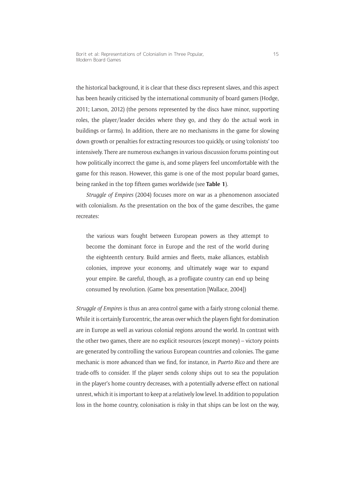the historical background, it is clear that these discs represent slaves, and this aspect has been heavily criticised by the international community of board gamers (Hodge, 2011; Larson, 2012) (the persons represented by the discs have minor, supporting roles, the player/leader decides where they go, and they do the actual work in buildings or farms). In addition, there are no mechanisms in the game for slowing down growth or penalties for extracting resources too quickly, or using 'colonists' too intensively. There are numerous exchanges in various discussion forums pointing out how politically incorrect the game is, and some players feel uncomfortable with the game for this reason. However, this game is one of the most popular board games, being ranked in the top fifteen games worldwide (see **Table 1**).

*Struggle of Empires* (2004) focuses more on war as a phenomenon associated with colonialism. As the presentation on the box of the game describes, the game recreates:

the various wars fought between European powers as they attempt to become the dominant force in Europe and the rest of the world during the eighteenth century. Build armies and fleets, make alliances, establish colonies, improve your economy, and ultimately wage war to expand your empire. Be careful, though, as a profligate country can end up being consumed by revolution. (Game box presentation [Wallace, 2004])

*Struggle of Empires* is thus an area control game with a fairly strong colonial theme. While it is certainly Eurocentric, the areas over which the players fight for domination are in Europe as well as various colonial regions around the world. In contrast with the other two games, there are no explicit resources (except money) – victory points are generated by controlling the various European countries and colonies. The game mechanic is more advanced than we find, for instance, in *Puerto Rico* and there are trade-offs to consider. If the player sends colony ships out to sea the population in the player's home country decreases, with a potentially adverse effect on national unrest, which it is important to keep at a relatively low level. In addition to population loss in the home country, colonisation is risky in that ships can be lost on the way,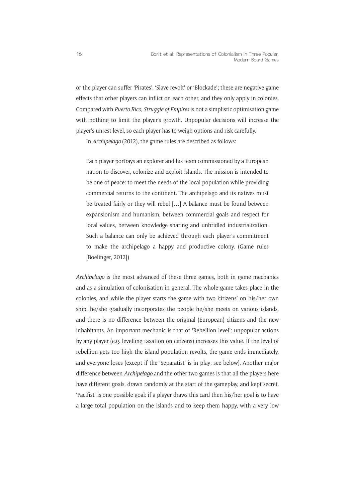or the player can suffer 'Pirates', 'Slave revolt' or 'Blockade'; these are negative game effects that other players can inflict on each other, and they only apply in colonies. Compared with *Puerto Rico*, *Struggle of Empires* is not a simplistic optimisation game with nothing to limit the player's growth. Unpopular decisions will increase the player's unrest level, so each player has to weigh options and risk carefully.

In *Archipelago* (2012), the game rules are described as follows:

Each player portrays an explorer and his team commissioned by a European nation to discover, colonize and exploit islands. The mission is intended to be one of peace: to meet the needs of the local population while providing commercial returns to the continent. The archipelago and its natives must be treated fairly or they will rebel […] A balance must be found between expansionism and humanism, between commercial goals and respect for local values, between knowledge sharing and unbridled industrialization. Such a balance can only be achieved through each player's commitment to make the archipelago a happy and productive colony. (Game rules [Boelinger, 2012])

*Archipelago* is the most advanced of these three games, both in game mechanics and as a simulation of colonisation in general. The whole game takes place in the colonies, and while the player starts the game with two 'citizens' on his/her own ship, he/she gradually incorporates the people he/she meets on various islands, and there is no difference between the original (European) citizens and the new inhabitants. An important mechanic is that of 'Rebellion level': unpopular actions by any player (e.g. levelling taxation on citizens) increases this value. If the level of rebellion gets too high the island population revolts, the game ends immediately, and everyone loses (except if the 'Separatist' is in play; see below). Another major difference between *Archipelago* and the other two games is that all the players here have different goals, drawn randomly at the start of the gameplay, and kept secret. 'Pacifist' is one possible goal: if a player draws this card then his/her goal is to have a large total population on the islands and to keep them happy, with a very low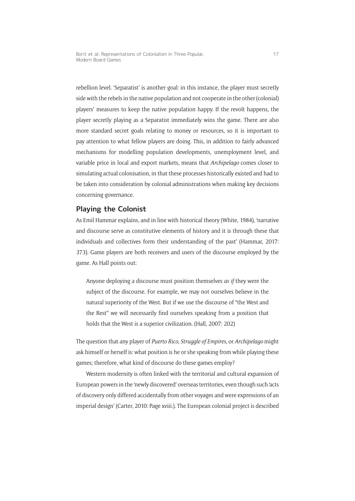rebellion level. 'Separatist' is another goal: in this instance, the player must secretly side with the rebels in the native population and not cooperate in the other (colonial) players' measures to keep the native population happy. If the revolt happens, the player secretly playing as a Separatist immediately wins the game. There are also more standard secret goals relating to money or resources, so it is important to pay attention to what fellow players are doing. This, in addition to fairly advanced mechanisms for modelling population developments, unemployment level, and variable price in local and export markets, means that *Archipelago* comes closer to simulating actual colonisation, in that these processes historically existed and had to be taken into consideration by colonial administrations when making key decisions concerning governance.

### **Playing the Colonist**

As Emil Hammar explains, and in line with historical theory (White, 1984), 'narrative and discourse serve as constitutive elements of history and it is through these that individuals and collectives form their understanding of the past' (Hammar, 2017: 373). Game players are both receivers and users of the discourse employed by the game. As Hall points out:

Anyone deploying a discourse must position themselves *as if* they were the subject of the discourse. For example, we may not ourselves believe in the natural superiority of the West. But if we use the discourse of "the West and the Rest" we will necessarily find ourselves speaking from a position that holds that the West is a superior civilization. (Hall, 2007: 202)

The question that any player of *Puerto Rico*, *Struggle of Empires*, or *Archipelago* might ask himself or herself is: what position is he or she speaking from while playing these games; therefore, what kind of discourse do these games employ?

Western modernity is often linked with the territorial and cultural expansion of European powers in the 'newly discovered' overseas territories, even though such 'acts of discovery only differed accidentally from other voyages and were expressions of an imperial design' (Carter, 2010: Page xviii.). The European colonial project is described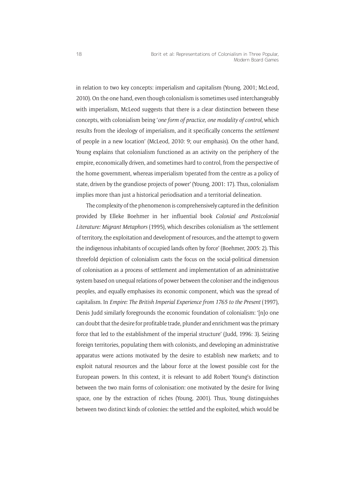in relation to two key concepts: imperialism and capitalism (Young, 2001; McLeod, 2010). On the one hand, even though colonialism is sometimes used interchangeably with imperialism. McLeod suggests that there is a clear distinction between these concepts, with colonialism being '*one form of practice, one modality of control,* which results from the ideology of imperialism, and it specifically concerns the *settlement*  of people in a new location' (McLeod, 2010: 9; our emphasis). On the other hand, Young explains that colonialism functioned as an activity on the periphery of the empire, economically driven, and sometimes hard to control, from the perspective of the home government, whereas imperialism 'operated from the centre as a policy of state, driven by the grandiose projects of power' (Young, 2001: 17). Thus, colonialism implies more than just a historical periodisation and a territorial delineation.

The complexity of the phenomenon is comprehensively captured in the definition provided by Elleke Boehmer in her influential book *Colonial and Postcolonial Literature: Migrant Metaphors* (1995), which describes colonialism as 'the settlement of territory, the exploitation and development of resources, and the attempt to govern the indigenous inhabitants of occupied lands often by force' (Boehmer, 2005: 2). This threefold depiction of colonialism casts the focus on the social-political dimension of colonisation as a process of settlement and implementation of an administrative system based on unequal relations of power between the coloniser and the indigenous peoples, and equally emphasises its economic component, which was the spread of capitalism. In *Empire: The British Imperial Experience from 1765 to the Present* (1997), Denis Judd similarly foregrounds the economic foundation of colonialism: '[n]o one can doubt that the desire for profitable trade, plunder and enrichment was the primary force that led to the establishment of the imperial structure' (Judd, 1996: 3). Seizing foreign territories, populating them with colonists, and developing an administrative apparatus were actions motivated by the desire to establish new markets; and to exploit natural resources and the labour force at the lowest possible cost for the European powers. In this context, it is relevant to add Robert Young's distinction between the two main forms of colonisation: one motivated by the desire for living space, one by the extraction of riches (Young, 2001). Thus, Young distinguishes between two distinct kinds of colonies: the settled and the exploited, which would be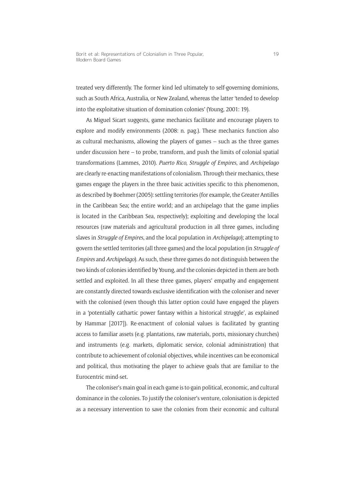treated very differently. The former kind led ultimately to self-governing dominions, such as South Africa, Australia, or New Zealand, whereas the latter 'tended to develop into the exploitative situation of domination colonies' (Young, 2001: 19).

As Miguel Sicart suggests, game mechanics facilitate and encourage players to explore and modify environments (2008: n. pag.). These mechanics function also as cultural mechanisms, allowing the players of games – such as the three games under discussion here  $-$  to probe, transform, and push the limits of colonial spatial transformations (Lammes, 2010). *Puerto Rico*, *Struggle of Empires*, and *Archipelago* are clearly re-enacting manifestations of colonialism. Through their mechanics, these games engage the players in the three basic activities specific to this phenomenon, as described by Boehmer (2005): settling territories (for example, the Greater Antilles in the Caribbean Sea; the entire world; and an archipelago that the game implies is located in the Caribbean Sea, respectively); exploiting and developing the local resources (raw materials and agricultural production in all three games, including slaves in *Struggle of Empires*, and the local population in *Archipelago*); attempting to govern the settled territories (all three games) and the local population (in *Struggle of Empires* and *Archipelago*). As such, these three games do not distinguish between the two kinds of colonies identified by Young, and the colonies depicted in them are both settled and exploited. In all these three games, players' empathy and engagement are constantly directed towards exclusive identification with the coloniser and never with the colonised (even though this latter option could have engaged the players in a 'potentially cathartic power fantasy within a historical struggle', as explained by Hammar [2017]). Re-enactment of colonial values is facilitated by granting access to familiar assets (e.g. plantations, raw materials, ports, missionary churches) and instruments (e.g. markets, diplomatic service, colonial administration) that contribute to achievement of colonial objectives, while incentives can be economical and political, thus motivating the player to achieve goals that are familiar to the Eurocentric mind-set.

The coloniser's main goal in each game is to gain political, economic, and cultural dominance in the colonies. To justify the coloniser's venture, colonisation is depicted as a necessary intervention to save the colonies from their economic and cultural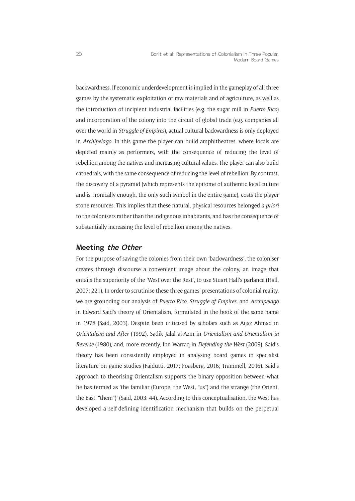backwardness. If economic underdevelopment is implied in the gameplay of all three games by the systematic exploitation of raw materials and of agriculture, as well as the introduction of incipient industrial facilities (e.g. the sugar mill in *Puerto Rico*) and incorporation of the colony into the circuit of global trade (e.g. companies all over the world in *Struggle of Empires*), actual cultural backwardness is only deployed in *Archipelago*. In this game the player can build amphitheatres, where locals are depicted mainly as performers, with the consequence of reducing the level of rebellion among the natives and increasing cultural values. The player can also build cathedrals, with the same consequence of reducing the level of rebellion. By contrast, the discovery of a pyramid (which represents the epitome of authentic local culture and is, ironically enough, the only such symbol in the entire game), costs the player stone resources. This implies that these natural, physical resources belonged *a priori*  to the colonisers rather than the indigenous inhabitants, and has the consequence of substantially increasing the level of rebellion among the natives.

### **Meeting the Other**

For the purpose of saving the colonies from their own 'backwardness', the coloniser creates through discourse a convenient image about the colony, an image that entails the superiority of the 'West over the Rest', to use Stuart Hall's parlance (Hall, 2007: 221). In order to scrutinise these three games' presentations of colonial reality, we are grounding our analysis of *Puerto Rico*, *Struggle of Empires*, and *Archipelago* in Edward Said's theory of Orientalism, formulated in the book of the same name in 1978 (Said, 2003). Despite been criticised by scholars such as Aijaz Ahmad in *Orientalism and After* (1992), Sadik Jalal al-Azm in *Orientalism and Orientalism in Reverse* (1980), and, more recently, Ibn Warraq in *Defending the West* (2009), Said's theory has been consistently employed in analysing board games in specialist literature on game studies (Faidutti, 2017; Foasberg, 2016; Trammell, 2016). Said's approach to theorising Orientalism supports the binary opposition between what he has termed as 'the familiar (Europe, the West, "us") and the strange (the Orient, the East, "them")' (Said, 2003: 44). According to this conceptualisation*,* the West has developed a self-defining identification mechanism that builds on the perpetual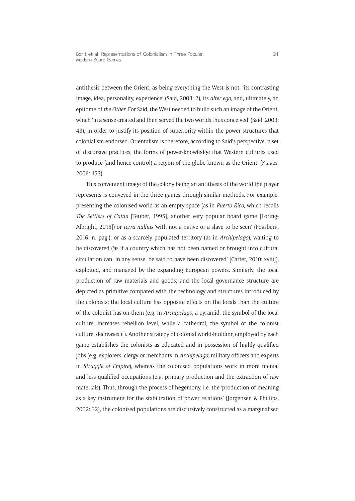antithesis between the Orient, as being everything the West is not: 'its contrasting image, idea, personality, experience' (Said, 2003: 2), its *alter ego*, and, ultimately, an epitome of *the Other*. For Said, the West needed to build such an image of the Orient, which 'in a sense created and then served the two worlds thus conceived' (Said, 2003: 43), in order to justify its position of superiority within the power structures that colonialism endorsed. Orientalism is therefore, according to Said's perspective, 'a set of discursive practices, the forms of power-knowledge that Western cultures used to produce (and hence control) a region of the globe known as the Orient' (Klages, 2006: 153).

This convenient image of the colony being an antithesis of the world the player represents is conveyed in the three games through similar methods. For example, presenting the colonised world as an empty space (as in *Puerto Rico*, which recalls *The Settlers of Catan* [Teuber, 1995], another very popular board game [Loring-Albright, 2015]) or *terra nullius* 'with not a native or a slave to be seen' (Foasberg, 2016: n. pag.); or as a scarcely populated territory (as in *Archipelago*), waiting to be discovered ('as if a country which has not been named or brought into cultural circulation can, in any sense, be said to have been discovered' [Carter, 2010: xviii]), exploited, and managed by the expanding European powers. Similarly, the local production of raw materials and goods; and the local governance structure are depicted as primitive compared with the technology and structures introduced by the colonists; the local culture has opposite effects on the locals than the culture of the colonist has on them (e.g. in *Archipelago*, a pyramid, the symbol of the local culture, increases rebellion level, while a cathedral, the symbol of the colonist culture, decreases it). Another strategy of colonial world-building employed by each game establishes the colonists as educated and in possession of highly qualified jobs (e.g. explorers, clergy or merchants in *Archipelago*; military officers and experts in *Struggle of Empire*), whereas the colonised populations work in more menial and less qualified occupations (e.g. primary production and the extraction of raw materials). Thus, through the process of hegemony, i.e. the 'production of meaning as a key instrument for the stabilization of power relations' (Jørgensen & Phillips, 2002: 32), the colonised populations are discursively constructed as a marginalised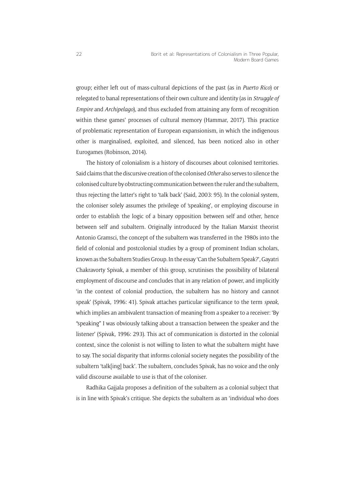group; either left out of mass-cultural depictions of the past (as in *Puerto Rico*) or relegated to banal representations of their own culture and identity (as in *Struggle of Empire* and *Archipelago*), and thus excluded from attaining any form of recognition within these games' processes of cultural memory (Hammar, 2017). This practice of problematic representation of European expansionism, in which the indigenous other is marginalised, exploited, and silenced, has been noticed also in other Eurogames (Robinson, 2014).

The history of colonialism is a history of discourses about colonised territories. Said claims that the discursive creation of the colonised *Other* also serves to silence the colonised culture by obstructing communication between the ruler and the subaltern, thus rejecting the latter's right to 'talk back' (Said, 2003: 95). In the colonial system, the coloniser solely assumes the privilege of 'speaking', or employing discourse in order to establish the logic of a binary opposition between self and other, hence between self and subaltern. Originally introduced by the Italian Marxist theorist Antonio Gramsci, the concept of the subaltern was transferred in the 1980s into the field of colonial and postcolonial studies by a group of prominent Indian scholars, known as the Subaltern Studies Group. In the essay 'Can the Subaltern Speak?',Gayatri Chakravorty Spivak, a member of this group, scrutinises the possibility of bilateral employment of discourse and concludes that in any relation of power, and implicitly 'in the context of colonial production, the subaltern has no history and cannot speak' (Spivak, 1996: 41). Spivak attaches particular significance to the term *speak*, which implies an ambivalent transaction of meaning from a speaker to a receiver: 'By "speaking" I was obviously talking about a transaction between the speaker and the listener' (Spivak, 1996: 293). This act of communication is distorted in the colonial context, since the colonist is not willing to listen to what the subaltern might have to say. The social disparity that informs colonial society negates the possibility of the subaltern 'talk[ing] back'. The subaltern, concludes Spivak, has no voice and the only valid discourse available to use is that of the coloniser.

Radhika Gajjala proposes a definition of the subaltern as a colonial subject that is in line with Spivak's critique. She depicts the subaltern as an 'individual who does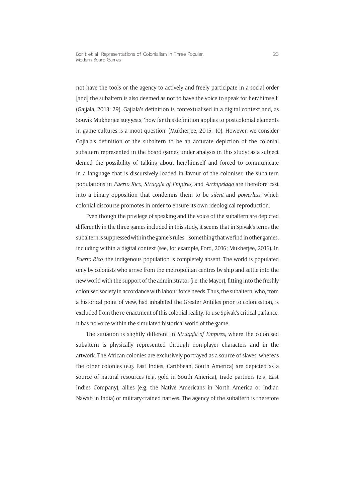not have the tools or the agency to actively and freely participate in a social order [and] the subaltern is also deemed as not to have the voice to speak for her/himself' (Gajjala, 2013: 29). Gajiala's definition is contextualised in a digital context and, as Souvik Mukherjee suggests, 'how far this definition applies to postcolonial elements in game cultures is a moot question' (Mukherjee, 2015: 10). However, we consider Gajiala's definition of the subaltern to be an accurate depiction of the colonial subaltern represented in the board games under analysis in this study: as a subject denied the possibility of talking about her/himself and forced to communicate in a language that is discursively loaded in favour of the coloniser, the subaltern populations in *Puerto Rico*, *Struggle of Empires,* and *Archipelago* are therefore cast into a binary opposition that condemns them to be *silent* and *powerless*, which colonial discourse promotes in order to ensure its own ideological reproduction.

Even though the privilege of speaking and the voice of the subaltern are depicted differently in the three games included in this study, it seems that in Spivak's terms the subaltern is suppressed within the game's rules – something that we find in other games, including within a digital context (see, for example, Ford, 2016; Mukherjee, 2016). In *Puerto Rico*, the indigenous population is completely absent. The world is populated only by colonists who arrive from the metropolitan centres by ship and settle into the new world with the support of the administrator (i.e. the Mayor), fitting into the freshly colonised society in accordance with labour force needs. Thus, the subaltern, who, from a historical point of view, had inhabited the Greater Antilles prior to colonisation, is excluded from the re-enactment of this colonial reality. To use Spivak's critical parlance, it has no voice within the simulated historical world of the game.

The situation is slightly different in *Struggle of Empires*, where the colonised subaltern is physically represented through non-player characters and in the artwork. The African colonies are exclusively portrayed as a source of slaves, whereas the other colonies (e.g. East Indies, Caribbean, South America) are depicted as a source of natural resources (e.g. gold in South America), trade partners (e.g. East Indies Company), allies (e.g. the Native Americans in North America or Indian Nawab in India) or military-trained natives. The agency of the subaltern is therefore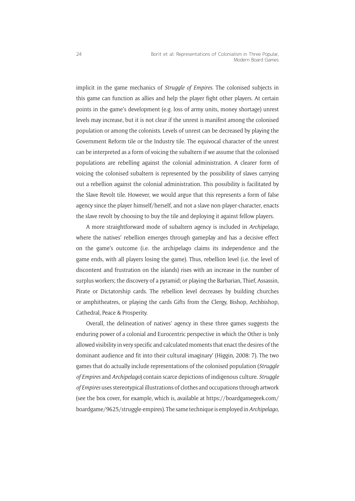implicit in the game mechanics of *Struggle of Empires*. The colonised subjects in this game can function as allies and help the player fight other players. At certain points in the game's development (e.g. loss of army units, money shortage) unrest levels may increase, but it is not clear if the unrest is manifest among the colonised population or among the colonists. Levels of unrest can be decreased by playing the Government Reform tile or the Industry tile. The equivocal character of the unrest can be interpreted as a form of voicing the subaltern if we assume that the colonised populations are rebelling against the colonial administration. A clearer form of voicing the colonised subaltern is represented by the possibility of slaves carrying out a rebellion against the colonial administration. This possibility is facilitated by the Slave Revolt tile. However, we would argue that this represents a form of false agency since the player himself/herself, and not a slave non-player-character, enacts the slave revolt by choosing to buy the tile and deploying it against fellow players.

A more straightforward mode of subaltern agency is included in *Archipelago*, where the natives' rebellion emerges through gameplay and has a decisive effect on the game's outcome (i.e. the archipelago claims its independence and the game ends, with all players losing the game). Thus, rebellion level (i.e. the level of discontent and frustration on the islands) rises with an increase in the number of surplus workers; the discovery of a pyramid; or playing the Barbarian, Thief, Assassin, Pirate or Dictatorship cards. The rebellion level decreases by building churches or amphitheatres, or playing the cards Gifts from the Clergy, Bishop, Archbishop, Cathedral, Peace & Prosperity.

Overall, the delineation of natives' agency in these three games suggests the enduring power of a colonial and Eurocentric perspective in which the Other is 'only allowed visibility in very specific and calculated moments that enact the desires of the dominant audience and fit into their cultural imaginary' (Higgin, 2008: 7). The two games that do actually include representations of the colonised population (*Struggle of Empires* and *Archipelago*) contain scarce depictions of indigenous culture. *Struggle of Empires* uses stereotypical illustrations of clothes and occupations through artwork (see the box cover, for example, which is, available at [https://boardgamegeek.com/](https://boardgamegeek.com/boardgame/9625/struggle-empires) [boardgame/9625/struggle-empires](https://boardgamegeek.com/boardgame/9625/struggle-empires)). The same technique is employed in *Archipelago,*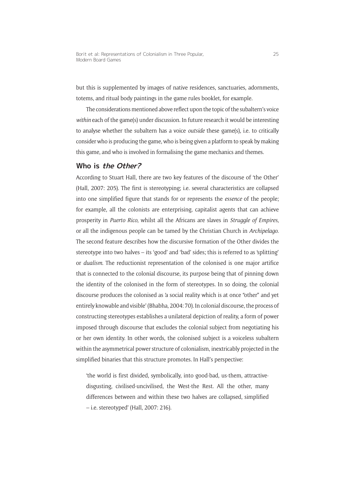but this is supplemented by images of native residences, sanctuaries, adornments, totems, and ritual body paintings in the game rules booklet, for example.

The considerations mentioned above reflect upon the topic of the subaltern's voice *within* each of the game(s) under discussion. In future research it would be interesting to analyse whether the subaltern has a voice *outside* these game(s), i.e. to critically consider who is producing the game, who is being given a platform to speak by making this game, and who is involved in formalising the game mechanics and themes.

### **Who is the Other?**

According to Stuart Hall, there are two key features of the discourse of 'the Other' (Hall, 2007: 205). The first is stereotyping; i.e. several characteristics are collapsed into one simplified figure that stands for or represents the *essence* of the people; for example, all the colonists are enterprising, capitalist agents that can achieve prosperity in *Puerto Rico*, whilst all the Africans are slaves in *Struggle of Empires*, or all the indigenous people can be tamed by the Christian Church in *Archipelago*. The second feature describes how the discursive formation of the Other divides the stereotype into two halves – its 'good' and 'bad' sides; this is referred to as 'splitting' or *dualism*. The reductionist representation of the colonised is one major artifice that is connected to the colonial discourse, its purpose being that of pinning down the identity of the colonised in the form of stereotypes. In so doing, the colonial discourse produces the colonised as 'a social reality which is at once "other" and yet entirely knowable and visible' (Bhabha, 2004: 70). In colonial discourse, the process of constructing stereotypes establishes a unilateral depiction of reality, a form of power imposed through discourse that excludes the colonial subject from negotiating his or her own identity. In other words, the colonised subject is a voiceless subaltern within the asymmetrical power structure of colonialism, inextricably projected in the simplified binaries that this structure promotes. In Hall's perspective:

'the world is first divided, symbolically, into good-bad, us-them, attractivedisgusting, civilised-uncivilised, the West-the Rest. All the other, many differences between and within these two halves are collapsed, simplified – i.e. stereotyped' (Hall, 2007: 216).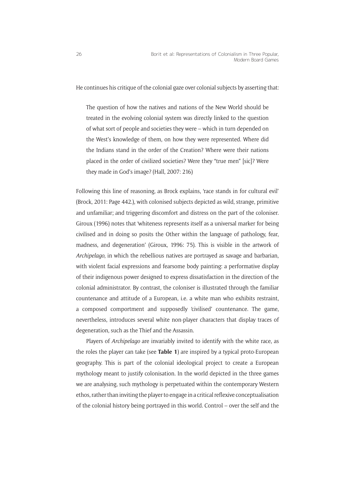He continues his critique of the colonial gaze over colonial subjects by asserting that:

The question of how the natives and nations of the New World should be treated in the evolving colonial system was directly linked to the question of what sort of people and societies they were – which in turn depended on the West's knowledge of them, on how they were represented. Where did the Indians stand in the order of the Creation? Where were their nations placed in the order of civilized societies? Were they "true men" [sic]? Were they made in God's image? (Hall, 2007: 216)

Following this line of reasoning, as Brock explains, 'race stands in for cultural evil' (Brock, 2011: Page 442.), with colonised subjects depicted as wild, strange, primitive and unfamiliar; and triggering discomfort and distress on the part of the coloniser. Giroux (1996) notes that 'whiteness represents itself as a universal marker for being civilised and in doing so posits the Other within the language of pathology, fear, madness, and degeneration' (Giroux, 1996: 75). This is visible in the artwork of *Archipelago*, in which the rebellious natives are portrayed as savage and barbarian, with violent facial expressions and fearsome body painting: a performative display of their indigenous power designed to express dissatisfaction in the direction of the colonial administrator. By contrast, the coloniser is illustrated through the familiar countenance and attitude of a European, i.e. a white man who exhibits restraint, a composed comportment and supposedly 'civilised' countenance. The game, nevertheless, introduces several white non-player characters that display traces of degeneration, such as the Thief and the Assassin.

Players of *Archipelago* are invariably invited to identify with the white race, as the roles the player can take (see **Table 1**) are inspired by a typical proto-European geography. This is part of the colonial ideological project to create a European mythology meant to justify colonisation. In the world depicted in the three games we are analysing, such mythology is perpetuated within the contemporary Western ethos, rather than inviting the player to engage in a critical reflexive conceptualisation of the colonial history being portrayed in this world. Control – over the self and the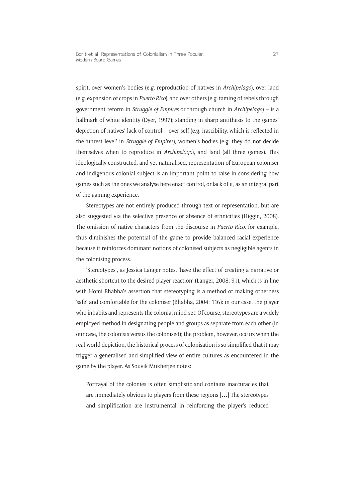spirit, over women's bodies (e.g. reproduction of natives in *Archipelago*), over land (e.g. expansion of crops in *Puerto Rico*), and over others (e.g. taming of rebels through government reform in *Struggle of Empires* or through church in *Archipelago*) – is a hallmark of white identity (Dyer, 1997); standing in sharp antithesis to the games' depiction of natives' lack of control – over self (e.g. irascibility, which is reflected in the 'unrest level' in *Struggle of Empires*), women's bodies (e.g. they do not decide themselves when to reproduce in *Archipelago*), and land (all three games). This ideologically constructed, and yet naturalised, representation of European coloniser and indigenous colonial subject is an important point to raise in considering how games such as the ones we analyse here enact control, or lack of it, as an integral part of the gaming experience.

Stereotypes are not entirely produced through text or representation, but are also suggested via the selective presence or absence of ethnicities (Higgin, 2008). The omission of native characters from the discourse in *Puerto Rico*, for example, thus diminishes the potential of the game to provide balanced racial experience because it reinforces dominant notions of colonised subjects as negligible agents in the colonising process.

'Stereotypes', as Jessica Langer notes, 'have the effect of creating a narrative or aesthetic shortcut to the desired player reaction' (Langer, 2008: 91), which is in line with Homi Bhabha's assertion that stereotyping is a method of making otherness 'safe' and comfortable for the coloniser (Bhabha, 2004: 116): in our case, the player who inhabits and represents the colonial mind-set. Of course, stereotypes are a widely employed method in designating people and groups as separate from each other (in our case, the colonists versus the colonised); the problem, however, occurs when the real-world depiction, the historical process of colonisation is so simplified that it may trigger a generalised and simplified view of entire cultures as encountered in the game by the player. As Souvik Mukherjee notes:

Portrayal of the colonies is often simplistic and contains inaccuracies that are immediately obvious to players from these regions […] The stereotypes and simplification are instrumental in reinforcing the player's reduced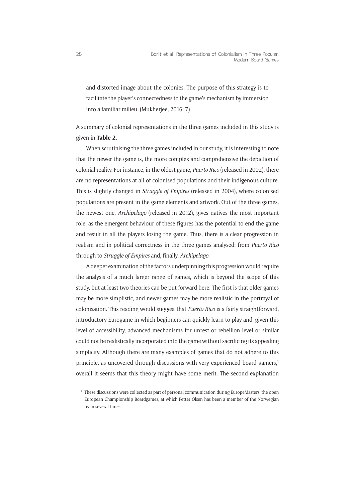and distorted image about the colonies. The purpose of this strategy is to facilitate the player's connectedness to the game's mechanism by immersion into a familiar milieu. (Mukherjee, 2016: 7)

A summary of colonial representations in the three games included in this study is given in **Table 2**.

When scrutinising the three games included in our study, it is interesting to note that the newer the game is, the more complex and comprehensive the depiction of colonial reality. For instance, in the oldest game, *Puerto Rico* (released in 2002), there are no representations at all of colonised populations and their indigenous culture. This is slightly changed in *Struggle of Empires* (released in 2004), where colonised populations are present in the game elements and artwork. Out of the three games, the newest one, *Archipelago* (released in 2012), gives natives the most important role, as the emergent behaviour of these figures has the potential to end the game and result in all the players losing the game. Thus, there is a clear progression in realism and in political correctness in the three games analysed: from *Puerto Rico* through to *Struggle of Empires* and, finally, *Archipelago*.

A deeper examination of the factors underpinning this progression would require the analysis of a much larger range of games, which is beyond the scope of this study, but at least two theories can be put forward here. The first is that older games may be more simplistic, and newer games may be more realistic in the portrayal of colonisation. This reading would suggest that *Puerto Rico* is a fairly straightforward, introductory Eurogame in which beginners can quickly learn to play and, given this level of accessibility, advanced mechanisms for unrest or rebellion level or similar could not be realistically incorporated into the game without sacrificing its appealing simplicity. Although there are many examples of games that do not adhere to this principle, as uncovered through discussions with very experienced board gamers,<sup>1</sup> overall it seems that this theory might have some merit. The second explanation

<sup>&</sup>lt;sup>1</sup> These discussions were collected as part of personal communication during EuropeMasters, the open European Championship Boardgames, at which Petter Olsen has been a member of the Norwegian team several times.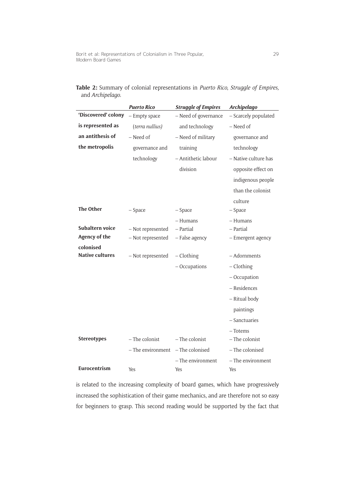|                        | <b>Puerto Rico</b>     | <b>Struggle of Empires</b> | Archipelago          |
|------------------------|------------------------|----------------------------|----------------------|
| 'Discovered' colony    | - Empty space          | - Need of governance       | - Scarcely populated |
| is represented as      | <i>(terra nullius)</i> | and technology             | - Need of            |
| an antithesis of       | - Need of              | - Need of military         | governance and       |
| the metropolis         | governance and         | training                   | technology           |
|                        | technology             | - Antithetic labour        | - Native culture has |
|                        |                        | division                   | opposite effect on   |
|                        |                        |                            | indigenous people    |
|                        |                        |                            | than the colonist    |
|                        |                        |                            | culture              |
| <b>The Other</b>       | - Space                | - Space                    | - Space              |
|                        |                        | – Humans                   | – Humans             |
| Subaltern voice        | - Not represented      | - Partial                  | - Partial            |
| <b>Agency of the</b>   | - Not represented      | - False agency             | - Emergent agency    |
| colonised              |                        |                            |                      |
| <b>Native cultures</b> | - Not represented      | $-$ Clothing               | - Adornments         |
|                        |                        | - Occupations              | $-$ Clothing         |
|                        |                        |                            | - Occupation         |
|                        |                        |                            | - Residences         |
|                        |                        |                            | - Ritual body        |
|                        |                        |                            | paintings            |
|                        |                        |                            | - Sanctuaries        |
|                        |                        |                            | - Totems             |
| <b>Stereotypes</b>     | - The colonist         | - The colonist             | - The colonist       |
|                        | – The environment      | - The colonised            | - The colonised      |
|                        |                        | - The environment          | - The environment    |
| <b>Eurocentrism</b>    | Yes                    | Yes                        | Yes                  |

|                  | Table 2: Summary of colonial representations in Puerto Rico, Struggle of Empires, |  |  |  |
|------------------|-----------------------------------------------------------------------------------|--|--|--|
| and Archipelago. |                                                                                   |  |  |  |

is related to the increasing complexity of board games, which have progressively increased the sophistication of their game mechanics, and are therefore not so easy for beginners to grasp. This second reading would be supported by the fact that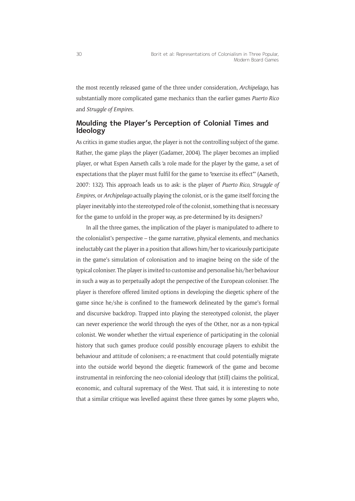the most recently released game of the three under consideration, *Archipelago*, has substantially more complicated game mechanics than the earlier games *Puerto Rico* and *Struggle of Empires*.

### **Moulding the Player's Perception of Colonial Times and Ideology**

As critics in game studies argue, the player is not the controlling subject of the game. Rather, the game plays the player (Gadamer, 2004). The player becomes an implied player, or what Espen Aarseth calls 'a role made for the player by the game, a set of expectations that the player must fulfil for the game to "exercise its effect"' (Aarseth, 2007: 132). This approach leads us to ask: is the player of *Puerto Rico*, *Struggle of Empires,* or *Archipelago* actually playing the colonist, or is the game itself forcing the player inevitably into the stereotyped role of the colonist, something that is necessary for the game to unfold in the proper way, as pre-determined by its designers?

In all the three games, the implication of the player is manipulated to adhere to the colonialist's perspective – the game narrative, physical elements, and mechanics ineluctably cast the player in a position that allows him/her to vicariously participate in the game's simulation of colonisation and to imagine being on the side of the typical coloniser. The player is invited to customise and personalise his/her behaviour in such a way as to perpetually adopt the perspective of the European coloniser. The player is therefore offered limited options in developing the diegetic sphere of the game since he/she is confined to the framework delineated by the game's formal and discursive backdrop. Trapped into playing the stereotyped colonist, the player can never experience the world through the eyes of the Other, nor as a non-typical colonist. We wonder whether the virtual experience of participating in the colonial history that such games produce could possibly encourage players to exhibit the behaviour and attitude of colonisers; a re-enactment that could potentially migrate into the outside world beyond the diegetic framework of the game and become instrumental in reinforcing the neo-colonial ideology that (still) claims the political, economic, and cultural supremacy of the West. That said, it is interesting to note that a similar critique was levelled against these three games by some players who,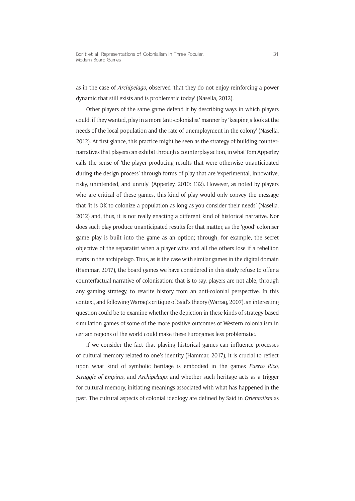as in the case of *Archipelago*, observed 'that they do not enjoy reinforcing a power dynamic that still exists and is problematic today' (Nasella, 2012).

Other players of the same game defend it by describing ways in which players could, if they wanted, play in a more 'anti-colonialist' manner by 'keeping a look at the needs of the local population and the rate of unemployment in the colony' (Nasella, 2012). At first glance, this practice might be seen as the strategy of building counternarratives that players can exhibit through a counterplay action, in what Tom Apperley calls the sense of 'the player producing results that were otherwise unanticipated during the design process' through forms of play that are 'experimental, innovative, risky, unintended, and unruly' (Apperley, 2010: 132). However, as noted by players who are critical of these games, this kind of play would only convey the message that 'it is OK to colonize a population as long as you consider their needs' (Nasella, 2012) and, thus, it is not really enacting a different kind of historical narrative. Nor does such play produce unanticipated results for that matter, as the 'good' coloniser game play is built into the game as an option; through, for example, the secret objective of the separatist when a player wins and all the others lose if a rebellion starts in the archipelago. Thus, as is the case with similar games in the digital domain (Hammar, 2017), the board games we have considered in this study refuse to offer a counterfactual narrative of colonisation: that is to say, players are not able, through any gaming strategy, to rewrite history from an anti-colonial perspective. In this context, and following Warraq's critique of Said's theory (Warraq, 2007), an interesting question could be to examine whether the depiction in these kinds of strategy-based simulation games of some of the more positive outcomes of Western colonialism in certain regions of the world could make these Eurogames less problematic.

If we consider the fact that playing historical games can influence processes of cultural memory related to one's identity (Hammar, 2017), it is crucial to reflect upon what kind of symbolic heritage is embodied in the games *Puerto Rico*, *Struggle of Empires,* and *Archipelago*; and whether such heritage acts as a trigger for cultural memory, initiating meanings associated with what has happened in the past. The cultural aspects of colonial ideology are defined by Said in *Orientalism* as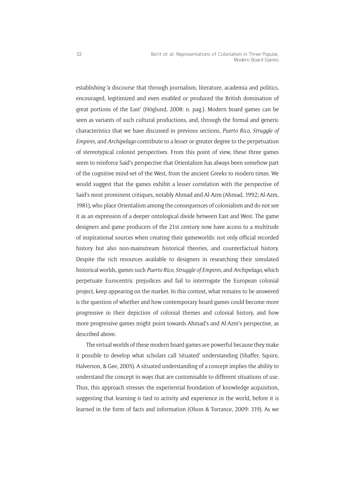establishing 'a discourse that through journalism, literature, academia and politics, encouraged, legitimized and even enabled or produced the British domination of great portions of the East' (Höglund, 2008: n. pag.). Modern board games can be seen as variants of such cultural productions, and, through the formal and generic characteristics that we have discussed in previous sections, *Puerto Rico*, *Struggle of Empires,* and *Archipelago* contribute to a lesser or greater degree to the perpetuation of stereotypical colonist perspectives. From this point of view, these three games seem to reinforce Said's perspective that Orientalism has always been somehow part of the cognitive mind-set of the West, from the ancient Greeks to modern times. We would suggest that the games exhibit a lesser correlation with the perspective of Said's most prominent critiques, notably Ahmad and Al-Azm (Ahmad, 1992; Al-Azm, 1981), who place Orientalism among the consequences of colonialism and do not see it as an expression of a deeper ontological divide between East and West. The game designers and game producers of the 21st century now have access to a multitude of inspirational sources when creating their gameworlds: not only official recorded history but also non-mainstream historical theories, and counterfactual history. Despite the rich resources available to designers in researching their simulated historical worlds, games such *Puerto Rico*, *Struggle of Empires,* and *Archipelago*, which perpetuate Eurocentric prejudices and fail to interrogate the European colonial project, keep appearing on the market. In this context, what remains to be answered is the question of whether and how contemporary board games could become more progressive in their depiction of colonial themes and colonial history, and how more progressive games might point towards Ahmad's and Al-Azm's perspective, as described above.

The virtual worlds of these modern board games are powerful because they make it possible to develop what scholars call 'situated' understanding (Shaffer, Squire, Halverson, & Gee, 2005). A situated understanding of a concept implies the ability to understand the concept in ways that are customisable to different situations of use. Thus, this approach stresses the experiential foundation of knowledge acquisition, suggesting that learning is tied to activity and experience in the world, before it is learned in the form of facts and information (Olson & Torrance, 2009: 319). As we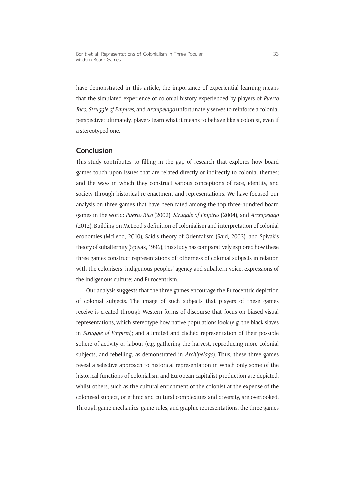have demonstrated in this article, the importance of experiential learning means that the simulated experience of colonial history experienced by players of *Puerto Rico*, *Struggle of Empires,* and *Archipelago* unfortunately serves to reinforce a colonial perspective: ultimately, players learn what it means to behave like a colonist, even if a stereotyped one.

### **Conclusion**

This study contributes to filling in the gap of research that explores how board games touch upon issues that are related directly or indirectly to colonial themes; and the ways in which they construct various conceptions of race, identity, and society through historical re-enactment and representations. We have focused our analysis on three games that have been rated among the top three-hundred board games in the world: *Puerto Rico* (2002), *Struggle of Empires* (2004), and *Archipelago* (2012). Building on McLeod's definition of colonialism and interpretation of colonial economies (McLeod, 2010), Said's theory of Orientalism (Said, 2003), and Spivak's theory of subalternity (Spivak, 1996), this study has comparatively explored how these three games construct representations of: otherness of colonial subjects in relation with the colonisers; indigenous peoples' agency and subaltern voice; expressions of the indigenous culture; and Eurocentrism.

Our analysis suggests that the three games encourage the Eurocentric depiction of colonial subjects. The image of such subjects that players of these games receive is created through Western forms of discourse that focus on biased visual representations, which stereotype how native populations look (e.g. the black slaves in *Struggle of Empires*); and a limited and clichéd representation of their possible sphere of activity or labour (e.g. gathering the harvest, reproducing more colonial subjects, and rebelling, as demonstrated in *Archipelago*). Thus, these three games reveal a selective approach to historical representation in which only some of the historical functions of colonialism and European capitalist production are depicted, whilst others, such as the cultural enrichment of the colonist at the expense of the colonised subject, or ethnic and cultural complexities and diversity, are overlooked. Through game mechanics, game rules, and graphic representations, the three games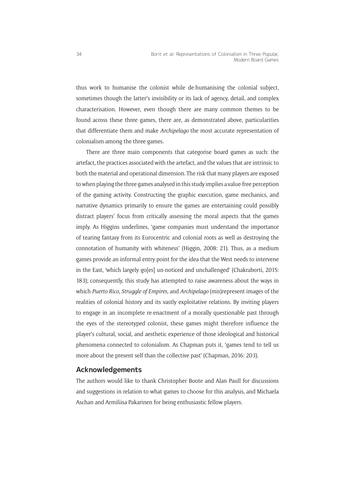thus work to humanise the colonist while de-humanising the colonial subject, sometimes though the latter's invisibility or its lack of agency, detail, and complex characterisation. However, even though there are many common themes to be found across these three games, there are, as demonstrated above, particularities that differentiate them and make *Archipelago* the most accurate representation of colonialism among the three games.

There are three main components that categorise board games as such: the artefact, the practices associated with the artefact, and the values that are intrinsic to both the material and operational dimension. The risk that many players are exposed to when playing the three games analysed in this study implies a value-free perception of the gaming activity. Constructing the graphic execution, game mechanics, and narrative dynamics primarily to ensure the games are entertaining could possibly distract players' focus from critically assessing the moral aspects that the games imply. As Higgins underlines, 'game companies must understand the importance of tearing fantasy from its Eurocentric and colonial roots as well as destroying the connotation of humanity with whiteness' (Higgin, 2008: 21). Thus, as a medium games provide an informal entry point for the idea that the West needs to intervene in the East, 'which largely go[es] un-noticed and unchallenged' (Chakraborti, 2015: 183); consequently, this study has attempted to raise awareness about the ways in which *Puerto Rico*, *Struggle of Empires,* and *Archipelago* (mis)represent images of the realities of colonial history and its vastly exploitative relations. By inviting players to engage in an incomplete re-enactment of a morally questionable past through the eyes of the stereotyped colonist, these games might therefore influence the player's cultural, social, and aesthetic experience of those ideological and historical phenomena connected to colonialism. As Chapman puts it, 'games tend to tell us more about the present self than the collective past' (Chapman, 2016: 203).

### **Acknowledgements**

The authors would like to thank Christopher Boote and Alan Paull for discussions and suggestions in relation to what games to choose for this analysis, and Michaela Aschan and Armiliisa Pakarinen for being enthusiastic fellow players.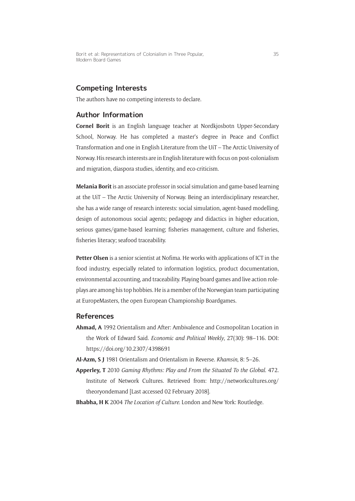Borit et al: Representations of Colonialism in Three Popular, Modern Board Games

### **Competing Interests**

The authors have no competing interests to declare.

### **Author Information**

**Cornel Borit** is an English language teacher at Nordkjosbotn Upper-Secondary School, Norway. He has completed a master's degree in Peace and Conflict Transformation and one in English Literature from the UiT – The Arctic University of Norway. His research interests are in English literature with focus on post-colonialism and migration, diaspora studies, identity, and eco-criticism.

**Melania Borit** is an associate professor in social simulation and game-based learning at the UiT – The Arctic University of Norway. Being an interdisciplinary researcher, she has a wide range of research interests: social simulation, agent-based modelling, design of autonomous social agents; pedagogy and didactics in higher education, serious games/game-based learning; fisheries management, culture and fisheries, fisheries literacy; seafood traceability.

**Petter Olsen** is a senior scientist at Nofima. He works with applications of ICT in the food industry, especially related to information logistics, product documentation, environmental accounting, and traceability. Playing board games and live action roleplays are among his top hobbies. He is a member of the Norwegian team participating at EuropeMasters, the open European Championship Boardgames.

### **References**

- **Ahmad, A** 1992 Orientalism and After: Ambivalence and Cosmopolitan Location in the Work of Edward Said. *Economic and Political Weekly*, 27(30): 98–116. DOI: <https://doi.org/10.2307/4398691>
- **Al-Azm, S J** 1981 Orientalism and Orientalism in Reverse. *Khamsin*, 8: 5–26.
- **Apperley, T** 2010 *Gaming Rhythms: Play and From the Situated To the Global*. 472. Institute of Network Cultures. Retrieved from: [http://networkcultures.org/](http://networkcultures.org/theoryondemand) [theoryondemand](http://networkcultures.org/theoryondemand) [Last accessed 02 February 2018].
- **Bhabha, H K** 2004 *The Location of Culture*. London and New York: Routledge.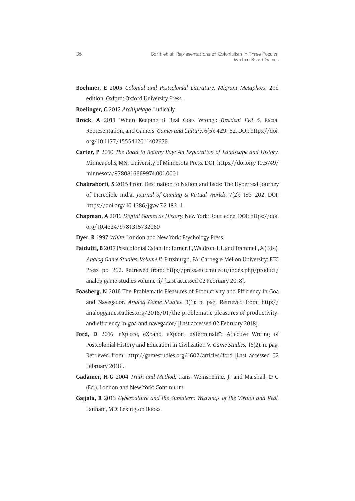- **Boehmer, E** 2005 *Colonial and Postcolonial Literature: Migrant Metaphors*, 2nd edition. Oxford: Oxford University Press.
- **Boelinger, C** 2012 *Archipelago*. Ludically.
- **Brock, A** 2011 'When Keeping it Real Goes Wrong': *Resident Evil 5*, Racial Representation, and Gamers. *Games and Culture*, 6(5): 429–52. DOI: [https://doi.](https://doi.org/10.1177/1555412011402676) [org/10.1177/1555412011402676](https://doi.org/10.1177/1555412011402676)
- **Carter, P** 2010 *The Road to Botany Bay: An Exploration of Landscape and History*. Minneapolis, MN: University of Minnesota Press. DOI: [https://doi.org/10.5749/](https://doi.org/10.5749/minnesota/9780816669974.001.0001) [minnesota/9780816669974.001.0001](https://doi.org/10.5749/minnesota/9780816669974.001.0001)
- **Chakraborti, S** 2015 From Destination to Nation and Back: The Hyperreal Journey of Incredible India. *Journal of Gaming & Virtual Worlds*, 7(2): 183–202. DOI: [https://doi.org/10.1386/jgvw.7.2.183\\_1](https://doi.org/10.1386/jgvw.7.2.183_1)
- **Chapman, A** 2016 *Digital Games as History*. New York: Routledge. DOI: [https://doi.](https://doi.org/10.4324/9781315732060) [org/10.4324/9781315732060](https://doi.org/10.4324/9781315732060)
- **Dyer, R** 1997 *White*. London and New York: Psychology Press.
- **Faidutti, B** 2017 Postcolonial Catan. In: Torner, E, Waldron, E L and Trammell, A (Eds.), *Analog Game Studies: Volume II*. Pittsburgh, PA: Carnegie Mellon University: ETC Press, pp. 262. Retrieved from: [http://press.etc.cmu.edu/index.php/product/](http://press.etc.cmu.edu/index.php/product/analog-game-studies-volume-ii/) [analog-game-studies-volume-ii/](http://press.etc.cmu.edu/index.php/product/analog-game-studies-volume-ii/) [Last accessed 02 February 2018].
- **Foasberg, N** 2016 The Problematic Pleasures of Productivity and Efficiency in Goa and Navegador. *Analog Game Studies*, 3(1): n. pag. Retrieved from: [http://](http://analoggamestudies.org/2016/01/the-problematic-pleasures-of-productivity-and-efficiency-in-goa-and-navegador/) [analoggamestudies.org/2016/01/the-problematic-pleasures-of-productivity](http://analoggamestudies.org/2016/01/the-problematic-pleasures-of-productivity-and-efficiency-in-goa-and-navegador/)[and-efficiency-in-goa-and-navegador/](http://analoggamestudies.org/2016/01/the-problematic-pleasures-of-productivity-and-efficiency-in-goa-and-navegador/) [Last accessed 02 February 2018].
- Ford, D 2016 "eXplore, eXpand, eXploit, eXterminate": Affective Writing of Postcolonial History and Education in Civilization V. *Game Studies*, 16(2): n. pag. Retrieved from: <http://gamestudies.org/1602/articles/ford>[Last accessed 02 February 2018].
- **Gadamer, H-G** 2004 *Truth and Method*, trans. Weinsheime, Jr and Marshall, D G (Ed.). London and New York: Continuum.
- **Gajjala, R** 2013 *Cyberculture and the Subaltern: Weavings of the Virtual and Real*. Lanham, MD: Lexington Books.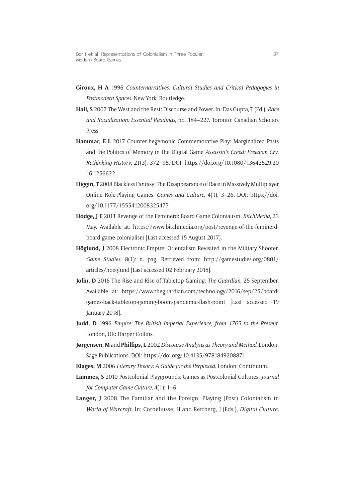- **Giroux, H A** 1996 *Counternarratives: Cultural Studies and Critical Pedagogies in Postmodern Spaces*. New York: Routledge.
- **Hall, S** 2007 The West and the Rest: Discourse and Power. In: Das Gupta, T (Ed.), *Race and Racialization: Essential Readings*, pp. 184–227. Toronto: Canadian Scholars Press.
- **Hammar, E L** 2017 Counter-hegemonic Commemorative Play: Marginalized Pasts and the Politics of Memory in the Digital Game *Assassin's Creed: Freedom Cry*. *Rethinking History*, 21(3): 372–95. DOI: [https://doi.org/10.1080/13642529.20](https://doi.org/10.1080/13642529.2016.1256622) [16.1256622](https://doi.org/10.1080/13642529.2016.1256622)
- **Higgin, T** 2008 Blackless Fantasy: The Disappearance of Race in Massively Multiplayer Online Role-Playing Games. *Games and Culture*, 4(1): 3–26. DOI: [https://doi.](https://doi.org/10.1177/1555412008325477) [org/10.1177/1555412008325477](https://doi.org/10.1177/1555412008325477)
- **Hodge, J E** 2011 Revenge of the Feminerd: Board Game Colonialism. *BitchMedia*, 23 May. Available at: [https://www.bitchmedia.org/post/revenge-of-the-feminerd](https://www.bitchmedia.org/post/revenge-of-the-feminerd-board-game-colonialism)[board-game-colonialism](https://www.bitchmedia.org/post/revenge-of-the-feminerd-board-game-colonialism) [Last accessed 15 August 2017].
- **Höglund, J** 2008 Electronic Empire: Orientalism Revisited in the Military Shooter. *Game Studies*, 8(1): n. pag. Retrieved from: [http://gamestudies.org/0801/](http://gamestudies.org/0801/articles/hoeglund) [articles/hoeglund](http://gamestudies.org/0801/articles/hoeglund) [Last accessed 02 February 2018].
- **Jolin, D** 2016 The Rise and Rise of Tabletop Gaming. *The Guardian*, 25 September. Available at: [https://www.theguardian.com/technology/2016/sep/25/board](https://www.theguardian.com/technology/2016/sep/25/board-games-back-tabletop-gaming-boom-pandemic-flash-point)[games-back-tabletop-gaming-boom-pandemic-flash-point](https://www.theguardian.com/technology/2016/sep/25/board-games-back-tabletop-gaming-boom-pandemic-flash-point) [Last accessed 19 January 2018].
- **Judd, D** 1996 *Empire: The British Imperial Experience, from 1765 to the Present*. London, UK: Harper Collins.
- **Jørgensen, M** and **Phillips, L** 2002 *Discourse Analysis as Theory and Method*. London: Sage Publications. DOI: <https://doi.org/10.4135/9781849208871>
- **Klages, M** 2006 *Literary Theory: A Guide for the Perplexed*. London: Continuum.
- **Lammes, S** 2010 Postcolonial Playgrounds: Games as Postcolonial Cultures. *Journal for Computer Game Culture*, 4(1): 1–6.
- **Langer, J** 2008 The Familiar and the Foreign: Playing (Post) Colonialism in *World of Warcraft*. In: Corneliusse, H and Rettberg, J (Eds.), *Digital Culture,*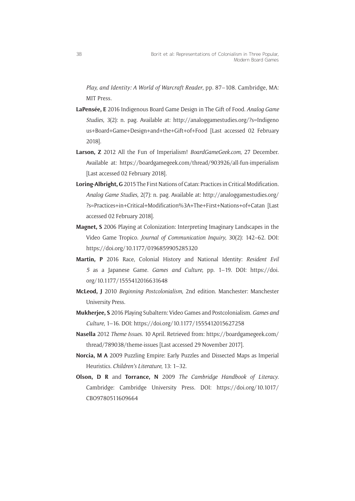*Play, and Identity: A World of Warcraft Reader*, pp. 87–108. Cambridge, MA: MIT Press.

- **LaPensée, E** 2016 Indigenous Board Game Design in The Gift of Food. *Analog Game Studies*, 3(2): n. pag. Available at: [http://analoggamestudies.org/?s=Indigeno](http://analoggamestudies.org/?s=Indigenous+Board+Game+Design+and+the+Gift+of+Food) [us+Board+Game+Design+and+the+Gift+of+Food](http://analoggamestudies.org/?s=Indigenous+Board+Game+Design+and+the+Gift+of+Food) [Last accessed 02 February 2018].
- **Larson, Z** 2012 All the Fun of Imperialism! *[BoardGameGeek.com](http://BoardGameGeek.com)*, 27 December. Available at: <https://boardgamegeek.com/thread/903926/all-fun-imperialism> [Last accessed 02 February 2018].
- **Loring-Albright, G** 2015 The First Nations of Catan: Practices in Critical Modification. *Analog Game Studies*, 2(7): n. pag. Available at: [http://analoggamestudies.org/](http://analoggamestudies.org/?s=Practices+in+Critical+Modification%3A+The+First+Nations+of+Catan) [?s=Practices+in+Critical+Modification%3A+The+First+Nations+of+Catan](http://analoggamestudies.org/?s=Practices+in+Critical+Modification%3A+The+First+Nations+of+Catan) [Last accessed 02 February 2018].
- **Magnet, S** 2006 Playing at Colonization: Interpreting Imaginary Landscapes in the Video Game Tropico. *Journal of Communication Inquiry*, 30(2): 142–62. DOI: <https://doi.org/10.1177/0196859905285320>
- **Martin, P** 2016 Race, Colonial History and National Identity: *Resident Evil 5* as a Japanese Game. *Games and Culture*, pp. 1–19. DOI: [https://doi.](https://doi.org/10.1177/1555412016631648) [org/10.1177/1555412016631648](https://doi.org/10.1177/1555412016631648)
- **McLeod, J** 2010 *Beginning Postcolonialism*, 2nd edition. Manchester: Manchester University Press.
- **Mukherjee, S** 2016 Playing Subaltern: Video Games and Postcolonialism. *Games and Culture*, 1–16. DOI:<https://doi.org/10.1177/1555412015627258>
- **Nasella** 2012 *Theme Issues*. 10 April. Retrieved from: [https://boardgamegeek.com/](https://boardgamegeek.com/thread/789038/theme-issues) [thread/789038/theme-issues](https://boardgamegeek.com/thread/789038/theme-issues) [Last accessed 29 November 2017].
- **Norcia, M A** 2009 Puzzling Empire: Early Puzzles and Dissected Maps as Imperial Heuristics. *Children's Literature*, 13: 1–32.
- **Olson, D R** and **Torrance, N** 2009 *The Cambridge Handbook of Literacy*. Cambridge: Cambridge University Press. DOI: [https://doi.org/10.1017/](https://doi.org/10.1017/CBO9780511609664) [CBO9780511609664](https://doi.org/10.1017/CBO9780511609664)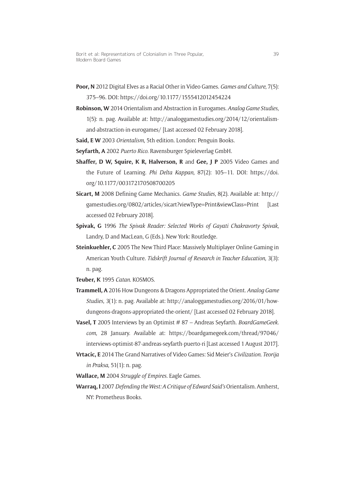- **Poor, N** 2012 Digital Elves as a Racial Other in Video Games. *Games and Culture*, 7(5): 375–96. DOI: <https://doi.org/10.1177/1555412012454224>
- **Robinson, W** 2014 Orientalism and Abstraction in Eurogames. *Analog Game Studies*, 1(5): n. pag. Available at: [http://analoggamestudies.org/2014/12/orientalism](http://analoggamestudies.org/2014/12/orientalism-and-abstraction-in-eurogames/)[and-abstraction-in-eurogames/](http://analoggamestudies.org/2014/12/orientalism-and-abstraction-in-eurogames/) [Last accessed 02 February 2018].
- **Said, E W** 2003 *Orientalism*, 5th edition. London: Penguin Books.

**Seyfarth, A** 2002 *Puerto Rico.* Ravensburger Spieleverlag GmbH.

- **Shaffer, D W, Squire, K R, Halverson, R** and **Gee, J P** 2005 Video Games and the Future of Learning. *Phi Delta Kappan*, 87(2): 105–11. DOI: [https://doi.](https://doi.org/10.1177/003172170508700205) [org/10.1177/003172170508700205](https://doi.org/10.1177/003172170508700205)
- **Sicart, M** 2008 Defining Game Mechanics. *Game Studies*, 8(2). Available at: [http://](http://gamestudies.org/0802/articles/sicart?viewType=Print&viewClass=Print) [gamestudies.org/0802/articles/sicart?viewType=Print&viewClass=Print](http://gamestudies.org/0802/articles/sicart?viewType=Print&viewClass=Print) [Last accessed 02 February 2018].
- **Spivak, G** 1996 *The Spivak Reader: Selected Works of Gayati Chakravorty Spivak*, Landry, D and MacLean, G (Eds.). New York: Routledge.
- **Steinkuehler, C** 2005 The New Third Place: Massively Multiplayer Online Gaming in American Youth Culture. *Tidskrift Journal of Research in Teacher Education*, 3(3): n. pag.
- **Teuber, K** 1995 *Catan*. KOSMOS.
- **Trammell, A** 2016 How Dungeons & Dragons Appropriated the Orient. *Analog Game Studies*, 3(1): n. pag. Available at: [http://analoggamestudies.org/2016/01/how](http://analoggamestudies.org/2016/01/how-dungeons-dragons-appropriated-the-orient/)[dungeons-dragons-appropriated-the-orient/](http://analoggamestudies.org/2016/01/how-dungeons-dragons-appropriated-the-orient/) [Last accessed 02 February 2018].
- **Vasel, T** 2005 Interviews by an Optimist # 87 Andreas Seyfarth. *BoardGameGeek. com*, 28 January. Available at: [https://boardgamegeek.com/thread/97046/](https://boardgamegeek.com/thread/97046/interviews-optimist-87-andreas-seyfarth-puerto-ri) [interviews-optimist-87-andreas-seyfarth-puerto-ri](https://boardgamegeek.com/thread/97046/interviews-optimist-87-andreas-seyfarth-puerto-ri) [Last accessed 1 August 2017].
- **Vrtacic, E** 2014 The Grand Narratives of Video Games: Sid Meier's *Civilization*. *Teorija in Praksa*, 51(1): n. pag.
- **Wallace, M** 2004 *Struggle of Empires.* Eagle Games.
- **Warraq, I** 2007 *Defending the West: A Critique of Edward Said's* Orientalism. Amherst, NY: Prometheus Books.